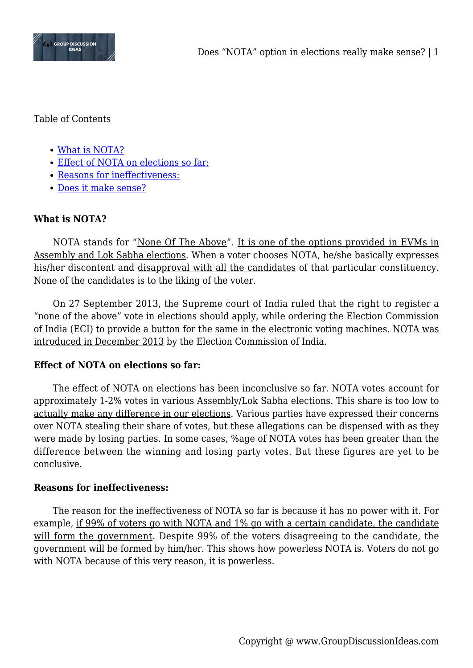

Table of Contents

- [What is NOTA?](#page--1-0)
- [Effect of NOTA on elections so far:](#page--1-0)
- [Reasons for ineffectiveness:](#page--1-0)
- [Does it make sense?](#page--1-0)

# **What is NOTA?**

NOTA stands for "None Of The Above". It is one of the options provided in EVMs in Assembly and Lok Sabha elections. When a voter chooses NOTA, he/she basically expresses his/her discontent and disapproval with all the candidates of that particular constituency. None of the candidates is to the liking of the voter.

On 27 September 2013, the Supreme court of India ruled that the right to register a "none of the above" vote in elections should apply, while ordering the Election Commission of India (ECI) to provide a button for the same in the electronic voting machines. NOTA was introduced in December 2013 by the Election Commission of India.

# **Effect of NOTA on elections so far:**

The effect of NOTA on elections has been inconclusive so far. NOTA votes account for approximately 1-2% votes in various Assembly/Lok Sabha elections. This share is too low to actually make any difference in our elections. Various parties have expressed their concerns over NOTA stealing their share of votes, but these allegations can be dispensed with as they were made by losing parties. In some cases, %age of NOTA votes has been greater than the difference between the winning and losing party votes. But these figures are yet to be conclusive.

#### **Reasons for ineffectiveness:**

The reason for the ineffectiveness of NOTA so far is because it has no power with it. For example, if 99% of voters go with NOTA and 1% go with a certain candidate, the candidate will form the government. Despite 99% of the voters disagreeing to the candidate, the government will be formed by him/her. This shows how powerless NOTA is. Voters do not go with NOTA because of this very reason, it is powerless.